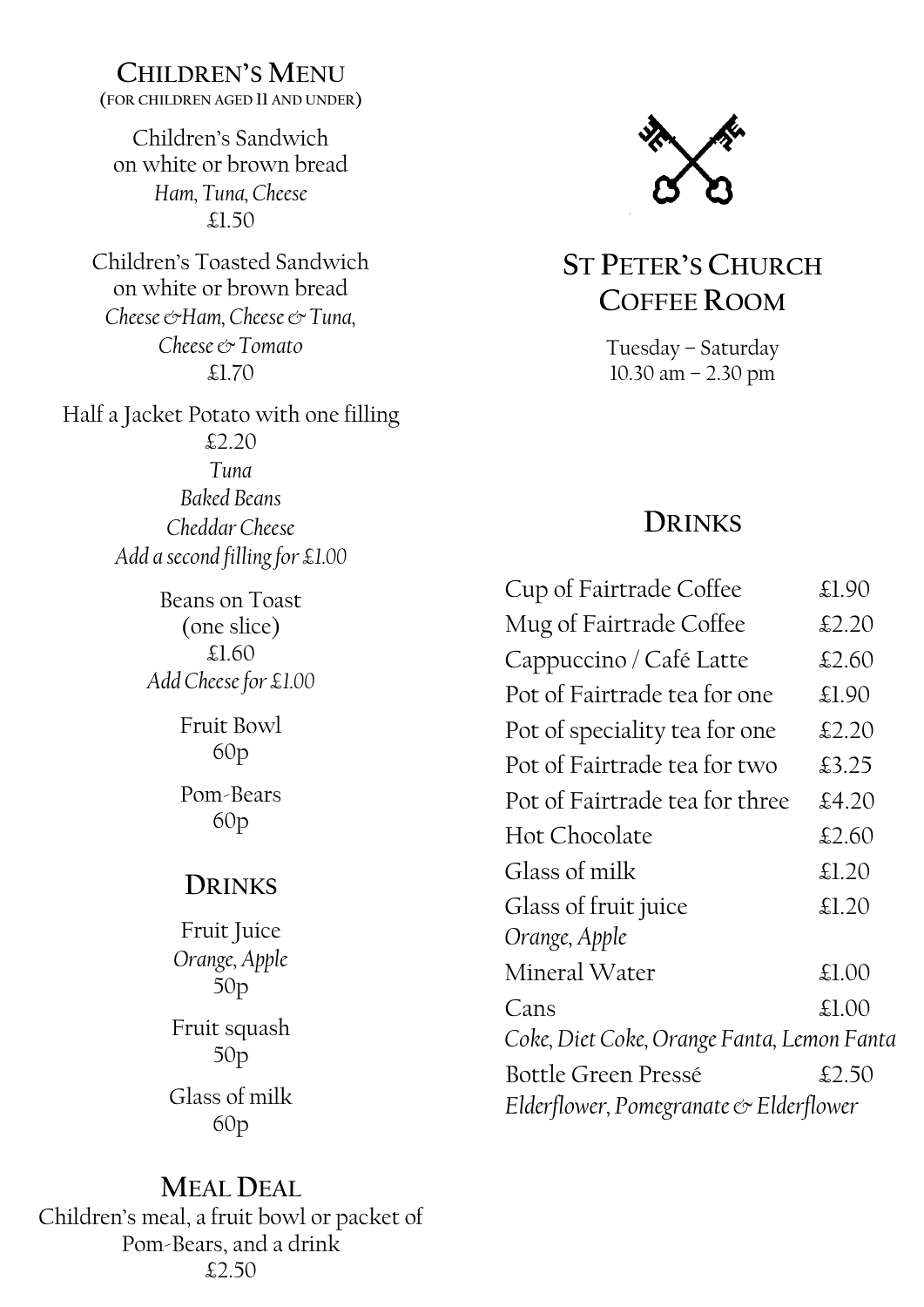## **CHILDREN'S MENU**

**(FOR CHILDREN AGED 11 AND UNDER)**

Children's Sandwich on white or brown bread *Ham, Tuna, Cheese* £1.50

Children's Toasted Sandwich on white or brown bread *Cheese &Ham, Cheese & Tuna, Cheese & Tomato* £1.70

Half a Jacket Potato with one filling £2.20 *Tuna Baked Beans Cheddar Cheese Add a second filling for £1.00*

> Beans on Toast (one slice) £1.60 *Add Cheese for £1.00*

> > Fruit Bowl 60p

Pom-Bears 60p

# **DRINKS**

Fruit Juice *Orange, Apple* 50p Fruit squash 50p Glass of milk 60p

**ST PETER'S CHURCH COFFEE ROOM**

> Tuesday – Saturday 10.30 am – 2.30 pm

# **DRINKS**

| Cup of Fairtrade Coffee                    | £1.90 |
|--------------------------------------------|-------|
| Mug of Fairtrade Coffee                    | £2.20 |
| Cappuccino / Café Latte                    | £2.60 |
| Pot of Fairtrade tea for one               | £1.90 |
| Pot of speciality tea for one              | £2.20 |
| Pot of Fairtrade tea for two               | £3.25 |
| Pot of Fairtrade tea for three             | £4.20 |
| <b>Hot Chocolate</b>                       | £2.60 |
| Glass of milk                              | £1.20 |
| Glass of fruit juice                       | £1.20 |
| Orange, Apple                              |       |
| Mineral Water                              | £1.00 |
| Cans                                       | £1.00 |
| Coke, Diet Coke, Orange Fanta, Lemon Fanta |       |
| Bottle Green Pressé                        | £2.50 |
| Elderflower, Pomegranate & Elderflower     |       |

**MEAL DEAL** Children's meal, a fruit bowl or packet of Pom-Bears, and a drink £2.50